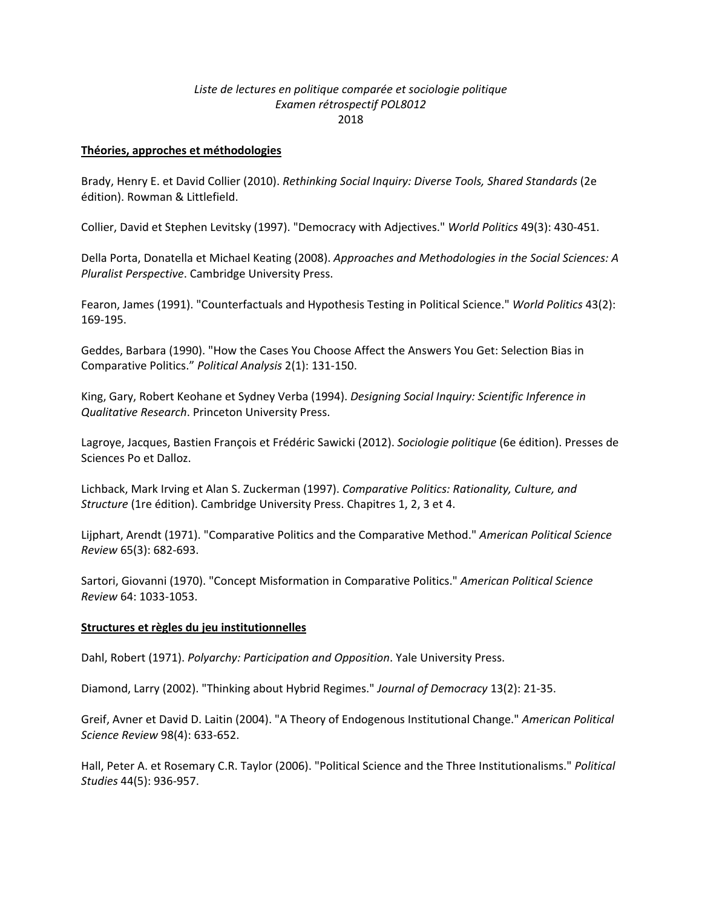# *Liste de lectures en politique comparée et sociologie politique Examen rétrospectif POL8012*  2018

### **Théories, approches et méthodologies**

Brady, Henry E. et David Collier (2010). *Rethinking Social Inquiry: Diverse Tools, Shared Standards* (2e édition). Rowman & Littlefield.

Collier, David et Stephen Levitsky (1997). "Democracy with Adjectives." *World Politics* 49(3): 430‐451.

Della Porta, Donatella et Michael Keating (2008). *Approaches and Methodologies in the Social Sciences: A Pluralist Perspective*. Cambridge University Press.

Fearon, James (1991). "Counterfactuals and Hypothesis Testing in Political Science." *World Politics* 43(2): 169‐195.

Geddes, Barbara (1990). "How the Cases You Choose Affect the Answers You Get: Selection Bias in Comparative Politics." *Political Analysis* 2(1): 131‐150.

King, Gary, Robert Keohane et Sydney Verba (1994). *Designing Social Inquiry: Scientific Inference in Qualitative Research*. Princeton University Press.

Lagroye, Jacques, Bastien François et Frédéric Sawicki (2012). *Sociologie politique* (6e édition). Presses de Sciences Po et Dalloz.

Lichback, Mark Irving et Alan S. Zuckerman (1997). *Comparative Politics: Rationality, Culture, and Structure* (1re édition). Cambridge University Press. Chapitres 1, 2, 3 et 4.

Lijphart, Arendt (1971). "Comparative Politics and the Comparative Method." *American Political Science Review* 65(3): 682‐693.

Sartori, Giovanni (1970). "Concept Misformation in Comparative Politics." *American Political Science Review* 64: 1033‐1053.

## **Structures et règles du jeu institutionnelles**

Dahl, Robert (1971). *Polyarchy: Participation and Opposition*. Yale University Press.

Diamond, Larry (2002). "Thinking about Hybrid Regimes." *Journal of Democracy* 13(2): 21‐35.

Greif, Avner et David D. Laitin (2004). "A Theory of Endogenous Institutional Change." *American Political Science Review* 98(4): 633‐652.

Hall, Peter A. et Rosemary C.R. Taylor (2006). "Political Science and the Three Institutionalisms." *Political Studies* 44(5): 936‐957.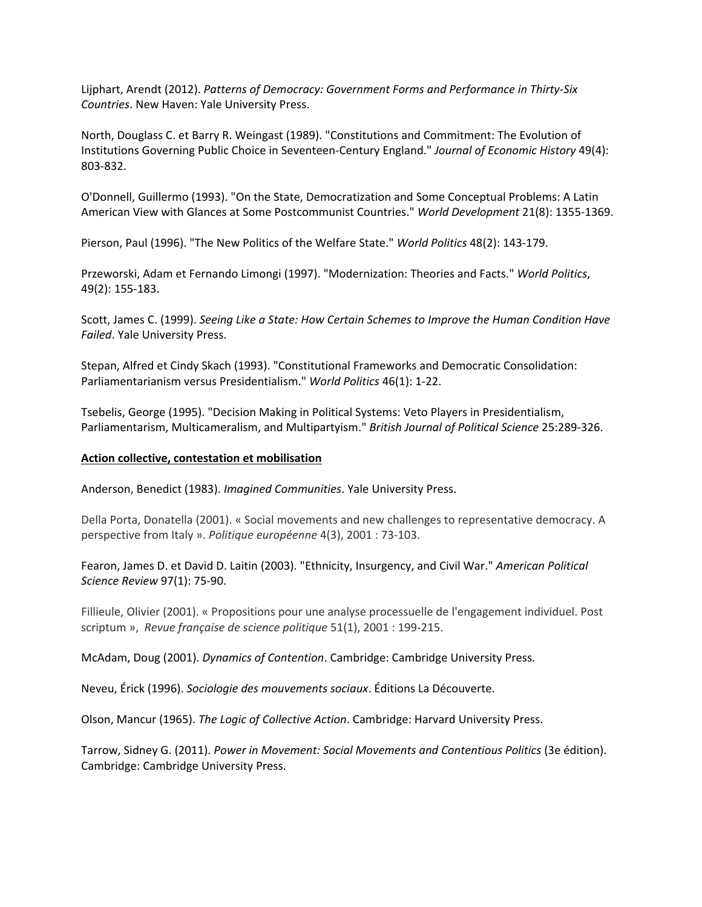Lijphart, Arendt (2012). *Patterns of Democracy: Government Forms and Performance in Thirty‐Six Countries*. New Haven: Yale University Press.

North, Douglass C. et Barry R. Weingast (1989). "Constitutions and Commitment: The Evolution of Institutions Governing Public Choice in Seventeen‐Century England." *Journal of Economic History* 49(4): 803‐832.

O'Donnell, Guillermo (1993). "On the State, Democratization and Some Conceptual Problems: A Latin American View with Glances at Some Postcommunist Countries." *World Development* 21(8): 1355‐1369.

Pierson, Paul (1996). "The New Politics of the Welfare State." *World Politics* 48(2): 143‐179.

Przeworski, Adam et Fernando Limongi (1997). "Modernization: Theories and Facts." *World Politics*, 49(2): 155‐183.

Scott, James C. (1999). *Seeing Like a State: How Certain Schemes to Improve the Human Condition Have Failed*. Yale University Press.

Stepan, Alfred et Cindy Skach (1993). "Constitutional Frameworks and Democratic Consolidation: Parliamentarianism versus Presidentialism." *World Politics* 46(1): 1‐22.

Tsebelis, George (1995). "Decision Making in Political Systems: Veto Players in Presidentialism, Parliamentarism, Multicameralism, and Multipartyism." *British Journal of Political Science* 25:289‐326.

#### **Action collective, contestation et mobilisation**

Anderson, Benedict (1983). *Imagined Communities*. Yale University Press.

Della Porta, Donatella (2001). « Social movements and new challenges to representative democracy. A perspective from Italy ». *Politique européenne* 4(3), 2001 : 73‐103.

Fearon, James D. et David D. Laitin (2003). "Ethnicity, Insurgency, and Civil War." *American Political Science Review* 97(1): 75‐90.

Fillieule, Olivier (2001). « Propositions pour une analyse processuelle de l'engagement individuel. Post scriptum », *Revue française de science politique* 51(1), 2001 : 199‐215.

McAdam, Doug (2001). *Dynamics of Contention*. Cambridge: Cambridge University Press.

Neveu, Érick (1996). *Sociologie des mouvements sociaux*. Éditions La Découverte.

Olson, Mancur (1965). *The Logic of Collective Action*. Cambridge: Harvard University Press.

Tarrow, Sidney G. (2011). *Power in Movement: Social Movements and Contentious Politics* (3e édition). Cambridge: Cambridge University Press.